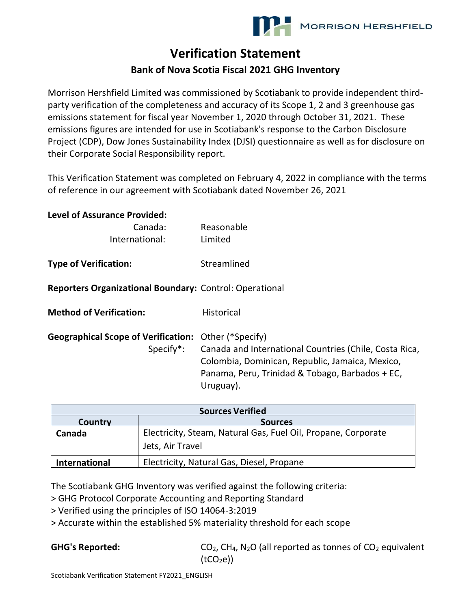## **Verification Statement**

## **Bank of Nova Scotia Fiscal 2021 GHG Inventory**

Morrison Hershfield Limited was commissioned by Scotiabank to provide independent thirdparty verification of the completeness and accuracy of its Scope 1, 2 and 3 greenhouse gas emissions statement for fiscal year November 1, 2020 through October 31, 2021. These emissions figures are intended for use in Scotiabank's response to the Carbon Disclosure Project (CDP), Dow Jones Sustainability Index (DJSI) questionnaire as well as for disclosure on their Corporate Social Responsibility report.

This Verification Statement was completed on February 4, 2022 in compliance with the terms of reference in our agreement with Scotiabank dated November 26, 2021

| Reasonable                                                                                                                                                                |
|---------------------------------------------------------------------------------------------------------------------------------------------------------------------------|
| Limited                                                                                                                                                                   |
| Streamlined                                                                                                                                                               |
| Reporters Organizational Boundary: Control: Operational                                                                                                                   |
| <b>Historical</b>                                                                                                                                                         |
| <b>Geographical Scope of Verification:</b> Other (*Specify)                                                                                                               |
| Canada and International Countries (Chile, Costa Rica,<br>Colombia, Dominican, Republic, Jamaica, Mexico,<br>Panama, Peru, Trinidad & Tobago, Barbados + EC,<br>Uruguay). |
|                                                                                                                                                                           |

| <b>Sources Verified</b> |                                                                                   |  |
|-------------------------|-----------------------------------------------------------------------------------|--|
| Country                 | <b>Sources</b>                                                                    |  |
| Canada                  | Electricity, Steam, Natural Gas, Fuel Oil, Propane, Corporate<br>Jets, Air Travel |  |
| <b>International</b>    | Electricity, Natural Gas, Diesel, Propane                                         |  |

The Scotiabank GHG Inventory was verified against the following criteria:

> GHG Protocol Corporate Accounting and Reporting Standard

> Verified using the principles of ISO 14064-3:2019

> Accurate within the established 5% materiality threshold for each scope

GHG's Reported: CO<sub>2</sub>, CH<sub>4</sub>, N<sub>2</sub>O (all reported as tonnes of CO<sub>2</sub> equivalent  $(tCO<sub>2</sub>e)$